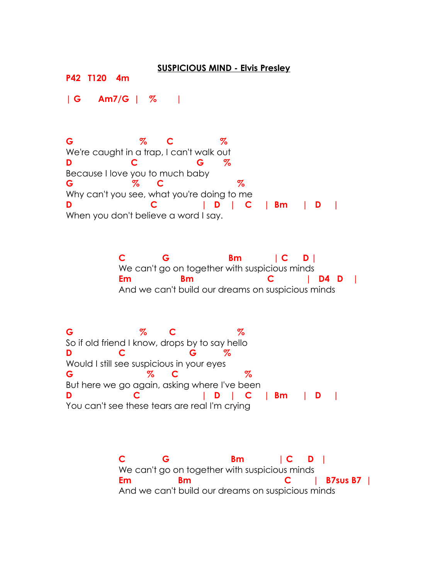## **SUSPICIOUS MIND - Elvis Presley**

**P42 T120 4m**

**| G Am7/G | % |**

**G % C %** We're caught in a trap, I can't walk out **D C G %** Because I love you to much baby **G % C %** Why can't you see, what you're doing to me **D C | D | C | Bm | D |** When you don't believe a word I say.

> **C G Bm | C D |** We can't go on together with suspicious minds **Em Bm C | D4 D |** And we can't build our dreams on suspicious minds

**G % C %** So if old friend I know, drops by to say hello **D C G %** Would I still see suspicious in your eyes **G % C %**  But here we go again, asking where I've been **D C | D | C | Bm | D |** You can't see these tears are real I'm crying

> **C G Bm | C D |** We can't go on together with suspicious minds **Em Bm C | B7sus B7 |** And we can't build our dreams on suspicious minds